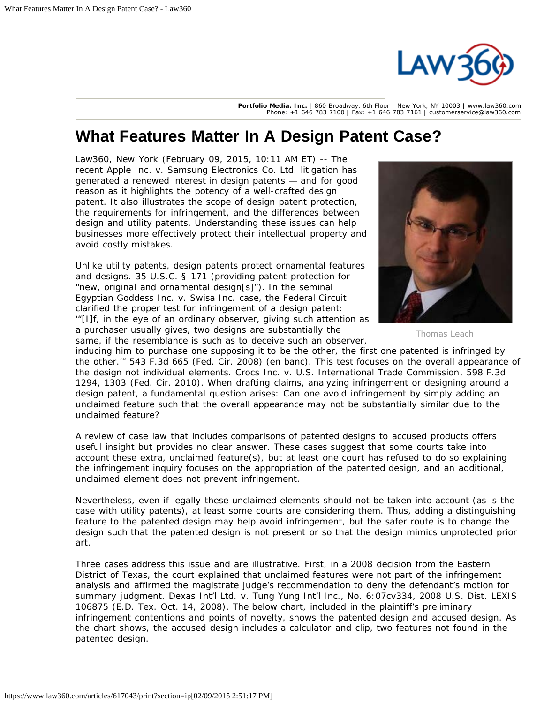

**Portfolio Media. Inc.** | 860 Broadway, 6th Floor | New York, NY 10003 | www.law360.com Phone: +1 646 783 7100 | Fax: +1 646 783 7161 | customerservice@law360.com

## **What Features Matter In A Design Patent Case?**

Law360, New York (February 09, 2015, 10:11 AM ET) -- The recent [Apple Inc](https://www.law360.com/company/apple-inc). v. [Samsung Electronics Co.](https://www.law360.com/company/samsung-electronics) Ltd. litigation has generated a renewed interest in design patents — and for good reason as it highlights the potency of a well-crafted design patent. It also illustrates the scope of design patent protection, the requirements for infringement, and the differences between design and utility patents. Understanding these issues can help businesses more effectively protect their intellectual property and avoid costly mistakes.

Unlike utility patents, design patents protect ornamental features and designs. 35 U.S.C. § 171 (providing patent protection for "new, original and ornamental design[s]"). In the seminal Egyptian Goddess Inc. v. Swisa Inc. case, the Federal Circuit clarified the proper test for infringement of a design patent: '"[I]f, in the eye of an ordinary observer, giving such attention as a purchaser usually gives, two designs are substantially the same, if the resemblance is such as to deceive such an observer,



Thomas Leach

inducing him to purchase one supposing it to be the other, the first one patented is infringed by the other.'" 543 F.3d 665 (Fed. Cir. 2008) (en banc). This test focuses on the overall appearance of the design not individual elements. [Crocs](https://www.law360.com/company/crocs-inc) Inc. v. U.S. International Trade Commission, 598 F.3d 1294, 1303 (Fed. Cir. 2010). When drafting claims, analyzing infringement or designing around a design patent, a fundamental question arises: Can one avoid infringement by simply adding an unclaimed feature such that the overall appearance may not be substantially similar due to the unclaimed feature?

A review of case law that includes comparisons of patented designs to accused products offers useful insight but provides no clear answer. These cases suggest that some courts take into account these extra, unclaimed feature(s), but at least one court has refused to do so explaining the infringement inquiry focuses on the appropriation of the patented design, and an additional, unclaimed element does not prevent infringement.

Nevertheless, even if legally these unclaimed elements should not be taken into account (as is the case with utility patents), at least some courts are considering them. Thus, adding a distinguishing feature to the patented design may help avoid infringement, but the safer route is to change the design such that the patented design is not present or so that the design mimics unprotected prior art.

Three cases address this issue and are illustrative. First, in a 2008 decision from the Eastern District of Texas, the court explained that unclaimed features were not part of the infringement analysis and affirmed the magistrate judge's recommendation to deny the defendant's motion for summary judgment. Dexas Int'l Ltd. v. Tung Yung Int'l Inc., No. 6:07cv334, 2008 U.S. Dist. LEXIS 106875 (E.D. Tex. Oct. 14, 2008). The below chart, included in the plaintiff's preliminary infringement contentions and points of novelty, shows the patented design and accused design. As the chart shows, the accused design includes a calculator and clip, two features not found in the patented design.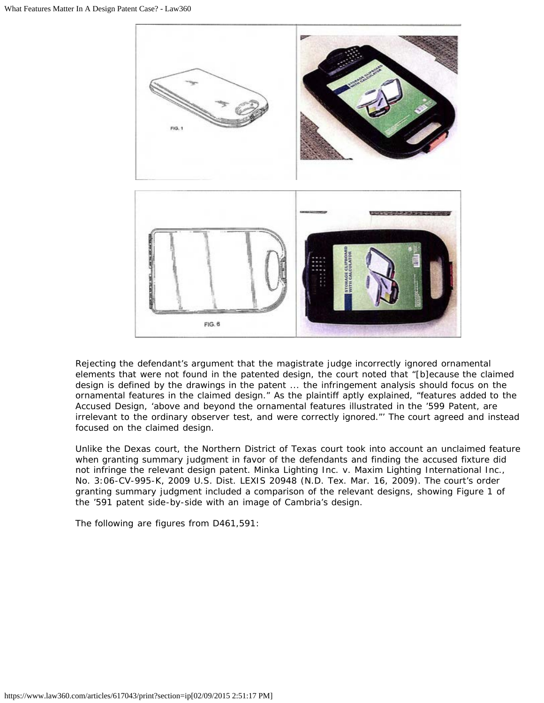

Rejecting the defendant's argument that the magistrate judge incorrectly ignored ornamental elements that were not found in the patented design, the court noted that "[b]ecause the claimed design is defined by the drawings in the patent ... the infringement analysis should focus on the ornamental features in the claimed design." As the plaintiff aptly explained, "features added to the Accused Design, 'above and beyond the ornamental features illustrated in the '599 Patent, are irrelevant to the ordinary observer test, and were correctly ignored."' The court agreed and instead focused on the claimed design.

Unlike the Dexas court, the Northern District of Texas court took into account an unclaimed feature when granting summary judgment in favor of the defendants and finding the accused fixture did not infringe the relevant design patent. Minka Lighting Inc. v. Maxim Lighting International Inc., No. 3:06-CV-995-K, 2009 U.S. Dist. LEXIS 20948 (N.D. Tex. Mar. 16, 2009). The court's order granting summary judgment included a comparison of the relevant designs, showing Figure 1 of the '591 patent side-by-side with an image of Cambria's design.

The following are figures from [D461,591:](https://www.law360.com/patents/D461591)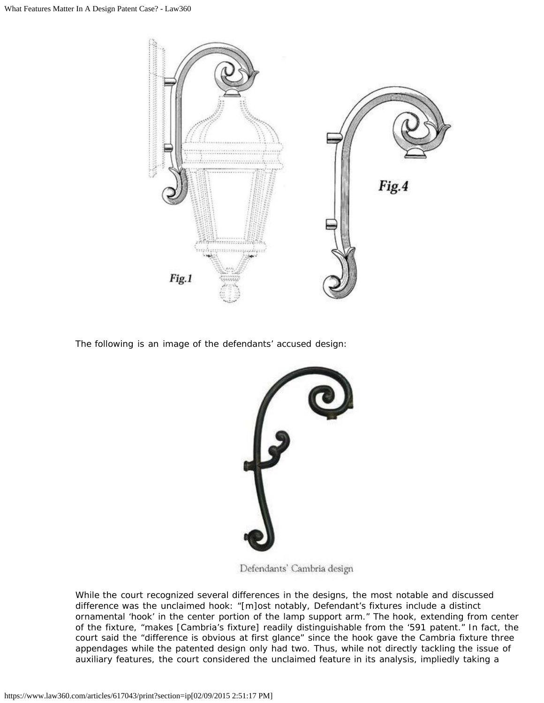

The following is an image of the defendants' accused design:



Defendants' Cambria design

While the court recognized several differences in the designs, the most notable and discussed difference was the unclaimed hook: "[m]ost notably, Defendant's fixtures include a distinct ornamental 'hook' in the center portion of the lamp support arm." The hook, extending from center of the fixture, "makes [Cambria's fixture] readily distinguishable from the '591 patent." In fact, the court said the "difference is obvious at first glance" since the hook gave the Cambria fixture three appendages while the patented design only had two. Thus, while not directly tackling the issue of auxiliary features, the court considered the unclaimed feature in its analysis, impliedly taking a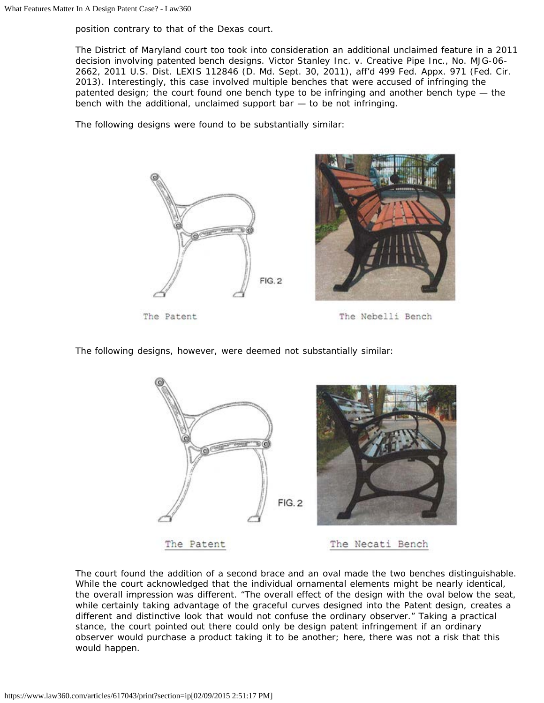position contrary to that of the Dexas court.

The District of Maryland court too took into consideration an additional unclaimed feature in a 2011 decision involving patented bench designs. Victor [Stanley Inc.](https://www.law360.com/company/cgi-group-inc) v. Creative Pipe Inc., No. MJG-06- 2662, 2011 U.S. Dist. LEXIS 112846 (D. Md. Sept. 30, 2011), aff'd 499 Fed. Appx. 971 (Fed. Cir. 2013). Interestingly, this case involved multiple benches that were accused of infringing the patented design; the court found one bench type to be infringing and another bench type — the bench with the additional, unclaimed support bar  $-$  to be not infringing.

The following designs were found to be substantially similar:



The Patent

The Nebelli Bench

The following designs, however, were deemed not substantially similar:



The court found the addition of a second brace and an oval made the two benches distinguishable. While the court acknowledged that the individual ornamental elements might be nearly identical, the overall impression was different. "The overall effect of the design with the oval below the seat, while certainly taking advantage of the graceful curves designed into the Patent design, creates a different and distinctive look that would not confuse the ordinary observer." Taking a practical stance, the court pointed out there could only be design patent infringement if an ordinary observer would purchase a product taking it to be another; here, there was not a risk that this would happen.